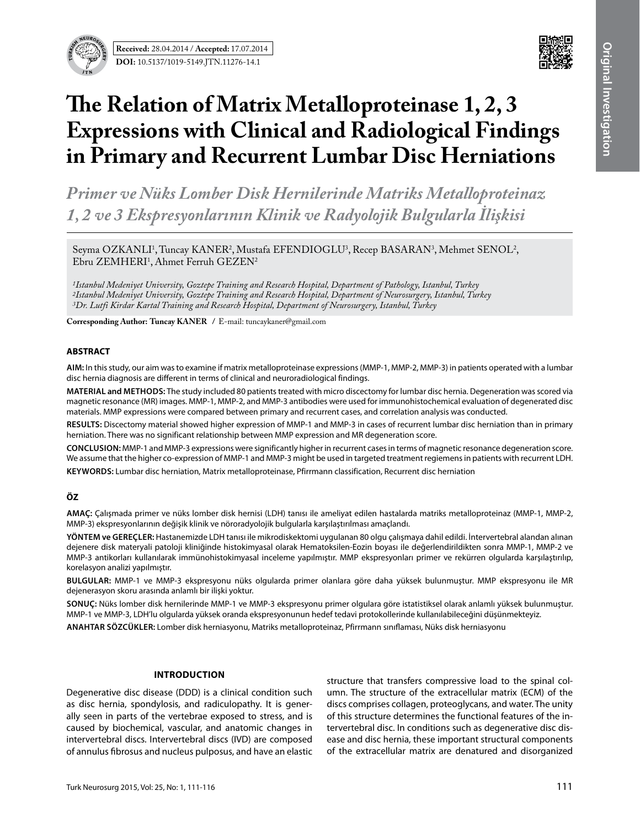**Received:** 28.04.2014 / **Accepted:** 17.07.2014 **DOI:** 10.5137/1019-5149.JTN.11276-



# **The Relation of Matrix Metalloproteinase 1, 2, 3 Expressions with Clinical and Radiological Findings in Primary and Recurrent Lumbar Disc Herniations**

*Primer ve Nüks Lomber Disk Hernilerinde Matriks Metalloproteinaz 1, 2 ve 3 Ekspresyonlarının Klinik ve Radyolojik Bulgularla İlişkisi*

Seyma OZKANLI<sup>1</sup>, Tuncay KANER<sup>2</sup>, Mustafa EFENDIOGLU<sup>3</sup>, Recep BASARAN<sup>3</sup>, Mehmet SENOL<sup>2</sup>,  $E$ bru  $ZEMHERI<sup>1</sup>$ , Ahmet Ferruh  $GEZEN<sup>2</sup>$ 

*1Istanbul Medeniyet University, Goztepe Training and Research Hospital, Department of Pathology, Istanbul, Turkey 2Istanbul Medeniyet University, Goztepe Training and Research Hospital, Department of Neurosurgery, Istanbul, Turkey 3Dr. Lutfi Kirdar Kartal Training and Research Hospital, Department of Neurosurgery, Istanbul, Turkey*

**Corresponding Author: Tuncay Kaner /** E-mail: tuncaykaner@gmail.com

#### **ABSTRACT**

**AIm:** In this study, our aim was to examine if matrix metalloproteinase expressions (MMP-1, MMP-2, MMP-3) in patients operated with a lumbar disc hernia diagnosis are different in terms of clinical and neuroradiological findings.

**MaterIal and Methods:** The study included 80 patients treated with micro discectomy for lumbar disc hernia. Degeneration was scored via magnetic resonance (MR) images. MMP-1, MMP-2, and MMP-3 antibodies were used for immunohistochemical evaluation of degenerated disc materials. MMP expressions were compared between primary and recurrent cases, and correlation analysis was conducted.

**Results:** Discectomy material showed higher expression of MMP-1 and MMP-3 in cases of recurrent lumbar disc herniation than in primary herniation. There was no significant relationship between MMP expression and MR degeneration score.

**ConclusIon:** MMP-1 and MMP-3 expressions were significantly higher in recurrent cases in terms of magnetic resonance degeneration score. We assume that the higher co-expression of MMP-1 and MMP-3 might be used in targeted treatment regiemens in patients with recurrent LDH.

**Keywords:** Lumbar disc herniation, Matrix metalloproteinase, Pfirrmann classification, Recurrent disc herniation

# **ÖZ**

**AMAÇ:** Çalışmada primer ve nüks lomber disk hernisi (LDH) tanısı ile ameliyat edilen hastalarda matriks metalloproteinaz (MMP-1, MMP-2, MMP-3) ekspresyonlarının değişik klinik ve nöroradyolojik bulgularla karşılaştırılması amaçlandı.

**YÖNTEM ve GEREÇLER:** Hastanemizde LDH tanısı ile mikrodiskektomi uygulanan 80 olgu çalışmaya dahil edildi. İntervertebral alandan alınan dejenere disk materyali patoloji kliniğinde histokimyasal olarak Hematoksilen-Eozin boyası ile değerlendirildikten sonra MMP-1, MMP-2 ve MMP-3 antikorları kullanılarak immünohistokimyasal inceleme yapılmıştır. MMP ekspresyonları primer ve rekürren olgularda karşılaştırılıp, korelasyon analizi yapılmıştır.

**BULGULAR:** MMP-1 ve MMP-3 ekspresyonu nüks olgularda primer olanlara göre daha yüksek bulunmuştur. MMP ekspresyonu ile MR dejenerasyon skoru arasında anlamlı bir ilişki yoktur.

**SONUÇ:** Nüks lomber disk hernilerinde MMP-1 ve MMP-3 ekspresyonu primer olgulara göre istatistiksel olarak anlamlı yüksek bulunmuştur. MMP-1 ve MMP-3, LDH'lu olgularda yüksek oranda ekspresyonunun hedef tedavi protokollerinde kullanılabileceğini düşünmekteyiz.

**ANAHTAR SÖZCÜKLER:** Lomber disk herniasyonu, Matriks metalloproteinaz, Pfirrmann sınıflaması, Nüks disk herniasyonu

#### **Introduction**

Degenerative disc disease (DDD) is a clinical condition such as disc hernia, spondylosis, and radiculopathy. It is generally seen in parts of the vertebrae exposed to stress, and is caused by biochemical, vascular, and anatomic changes in intervertebral discs. Intervertebral discs (IVD) are composed of annulus fibrosus and nucleus pulposus, and have an elastic

structure that transfers compressive load to the spinal column. The structure of the extracellular matrix (ECM) of the discs comprises collagen, proteoglycans, and water. The unity of this structure determines the functional features of the intervertebral disc. In conditions such as degenerative disc disease and disc hernia, these important structural components of the extracellular matrix are denatured and disorganized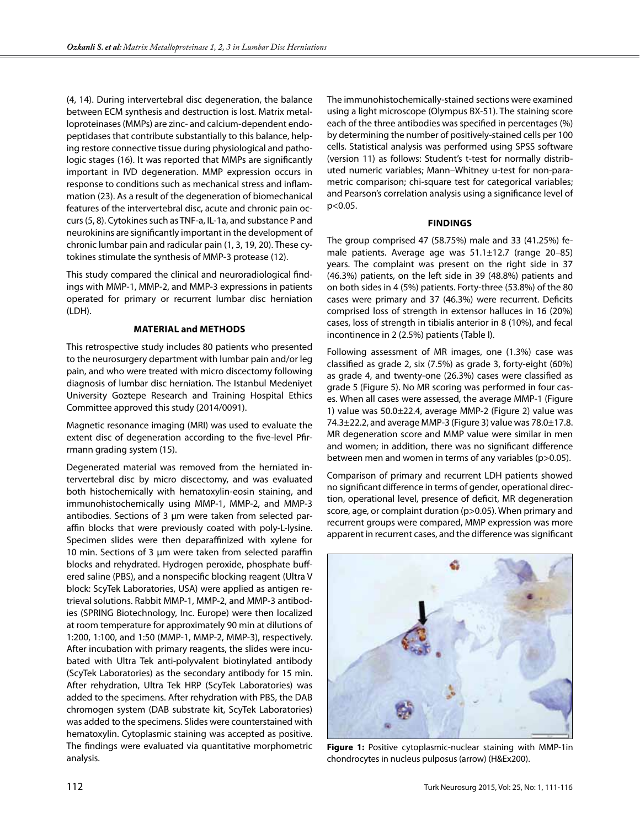(4, 14). During intervertebral disc degeneration, the balance between ECM synthesis and destruction is lost. Matrix metalloproteinases (MMPs) are zinc- and calcium-dependent endopeptidases that contribute substantially to this balance, helping restore connective tissue during physiological and pathologic stages (16). It was reported that MMPs are significantly important in IVD degeneration. MMP expression occurs in response to conditions such as mechanical stress and inflammation (23). As a result of the degeneration of biomechanical features of the intervertebral disc, acute and chronic pain occurs (5, 8). Cytokines such as TNF-a, IL-1a, and substance P and neurokinins are significantly important in the development of chronic lumbar pain and radicular pain (1, 3, 19, 20). These cytokines stimulate the synthesis of MMP-3 protease (12).

This study compared the clinical and neuroradiological findings with MMP-1, MMP-2, and MMP-3 expressions in patients operated for primary or recurrent lumbar disc herniation (LDH).

## **Material and Methods**

This retrospective study includes 80 patients who presented to the neurosurgery department with lumbar pain and/or leg pain, and who were treated with micro discectomy following diagnosis of lumbar disc herniation. The Istanbul Medeniyet University Goztepe Research and Training Hospital Ethics Committee approved this study (2014/0091).

Magnetic resonance imaging (MRI) was used to evaluate the extent disc of degeneration according to the five-level Pfirrmann grading system (15).

Degenerated material was removed from the herniated intervertebral disc by micro discectomy, and was evaluated both histochemically with hematoxylin-eosin staining, and immunohistochemically using MMP-1, MMP-2, and MMP-3 antibodies. Sections of 3 μm were taken from selected paraffin blocks that were previously coated with poly-L-lysine. Specimen slides were then deparaffinized with xylene for 10 min. Sections of 3 μm were taken from selected paraffin blocks and rehydrated. Hydrogen peroxide, phosphate buffered saline (PBS), and a nonspecific blocking reagent (Ultra V block: ScyTek Laboratories, USA) were applied as antigen retrieval solutions. Rabbit MMP-1, MMP-2, and MMP-3 antibodies (SPRING Biotechnology, Inc. Europe) were then localized at room temperature for approximately 90 min at dilutions of 1:200, 1:100, and 1:50 (MMP-1, MMP-2, MMP-3), respectively. After incubation with primary reagents, the slides were incubated with Ultra Tek anti-polyvalent biotinylated antibody (ScyTek Laboratories) as the secondary antibody for 15 min. After rehydration, Ultra Tek HRP (ScyTek Laboratories) was added to the specimens. After rehydration with PBS, the DAB chromogen system (DAB substrate kit, ScyTek Laboratories) was added to the specimens. Slides were counterstained with hematoxylin. Cytoplasmic staining was accepted as positive. The findings were evaluated via quantitative morphometric analysis.

The immunohistochemically-stained sections were examined using a light microscope (Olympus BX-51). The staining score each of the three antibodies was specified in percentages (%) by determining the number of positively-stained cells per 100 cells. Statistical analysis was performed using SPSS software (version 11) as follows: Student's t-test for normally distributed numeric variables; Mann–Whitney u-test for non-parametric comparison; chi-square test for categorical variables; and Pearson's correlation analysis using a significance level of p<0.05.

## **Findings**

The group comprised 47 (58.75%) male and 33 (41.25%) female patients. Average age was 51.1±12.7 (range 20–85) years. The complaint was present on the right side in 37 (46.3%) patients, on the left side in 39 (48.8%) patients and on both sides in 4 (5%) patients. Forty-three (53.8%) of the 80 cases were primary and 37 (46.3%) were recurrent. Deficits comprised loss of strength in extensor halluces in 16 (20%) cases, loss of strength in tibialis anterior in 8 (10%), and fecal incontinence in 2 (2.5%) patients (Table I).

Following assessment of MR images, one (1.3%) case was classified as grade 2, six (7.5%) as grade 3, forty-eight (60%) as grade 4, and twenty-one (26.3%) cases were classified as grade 5 (Figure 5). No MR scoring was performed in four cases. When all cases were assessed, the average MMP-1 (Figure 1) value was 50.0±22.4, average MMP-2 (Figure 2) value was 74.3±22.2, and average MMP-3 (Figure 3) value was 78.0±17.8. MR degeneration score and MMP value were similar in men and women; in addition, there was no significant difference between men and women in terms of any variables (p>0.05).

Comparison of primary and recurrent LDH patients showed no significant difference in terms of gender, operational direction, operational level, presence of deficit, MR degeneration score, age, or complaint duration (p>0.05). When primary and recurrent groups were compared, MMP expression was more apparent in recurrent cases, and the difference was significant



**Figure 1:** Positive cytoplasmic-nuclear staining with MMP-1in chondrocytes in nucleus pulposus (arrow) (H&Ex200).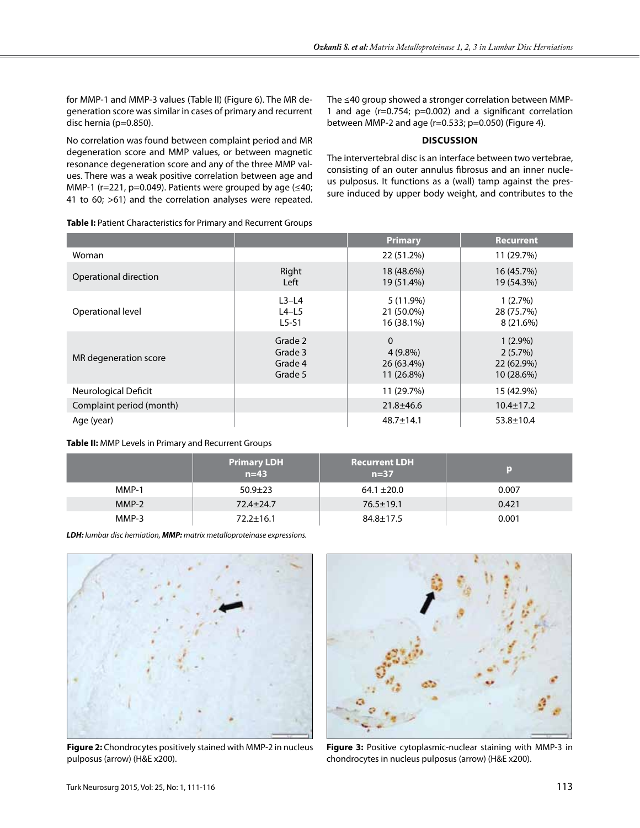for MMP-1 and MMP-3 values (Table II) (Figure 6). The MR degeneration score was similar in cases of primary and recurrent disc hernia (p=0.850).

The ≤40 group showed a stronger correlation between MMP-1 and age (r=0.754; p=0.002) and a significant correlation between MMP-2 and age (r=0.533; p=0.050) (Figure 4).

## **Discussion**

No correlation was found between complaint period and MR degeneration score and MMP values, or between magnetic resonance degeneration score and any of the three MMP values. There was a weak positive correlation between age and MMP-1 ( $r=221$ ,  $p=0.049$ ). Patients were grouped by age ( $\leq 40$ ; 41 to 60; >61) and the correlation analyses were repeated.

The intervertebral disc is an interface between two vertebrae, consisting of an outer annulus fibrosus and an inner nucleus pulposus. It functions as a (wall) tamp against the pressure induced by upper body weight, and contributes to the

| Table I: Patient Characteristics for Primary and Recurrent Groups |  |
|-------------------------------------------------------------------|--|
|-------------------------------------------------------------------|--|

|                          |                                          | <b>Primary</b>                                     | <b>Recurrent</b>                                  |
|--------------------------|------------------------------------------|----------------------------------------------------|---------------------------------------------------|
| Woman                    |                                          | 22 (51.2%)                                         | 11 (29.7%)                                        |
| Operational direction    | Right<br>Left                            | 18 (48.6%)<br>19 (51.4%)                           | 16 (45.7%)<br>19 (54.3%)                          |
| Operational level        | $L3-L4$<br>$L4-L5$<br>$L5-S1$            | 5 (11.9%)<br>21 (50.0%)<br>16 (38.1%)              | 1(2.7%)<br>28 (75.7%)<br>8 (21.6%)                |
| MR degeneration score    | Grade 2<br>Grade 3<br>Grade 4<br>Grade 5 | $\Omega$<br>$4(9.8\%)$<br>26 (63.4%)<br>11 (26.8%) | $1(2.9\%)$<br>2(5.7%)<br>22 (62.9%)<br>10 (28.6%) |
| Neurological Deficit     |                                          | 11 (29.7%)                                         | 15 (42.9%)                                        |
| Complaint period (month) |                                          | $21.8 \pm 46.6$                                    | $10.4 \pm 17.2$                                   |
| Age (year)               |                                          | $48.7 \pm 14.1$                                    | $53.8 \pm 10.4$                                   |

## **Table II:** MMP Levels in Primary and Recurrent Groups

|         | <b>Primary LDH</b><br>$n=43$ | <b>Recurrent LDH</b><br>$n=37$ |       |
|---------|------------------------------|--------------------------------|-------|
| MMP-1   | $50.9 \pm 23$                | $64.1 \pm 20.0$                | 0.007 |
| $MMP-2$ | $72.4 \pm 24.7$              | $76.5 \pm 19.1$                | 0.421 |
| MMP-3   | $72.2 \pm 16.1$              | $84.8 \pm 17.5$                | 0.001 |

*LDH: lumbar disc herniation, MMP: matrix metalloproteinase expressions.*



**Figure 2:** Chondrocytes positively stained with MMP-2 in nucleus pulposus (arrow) (H&E x200).



**Figure 3:** Positive cytoplasmic-nuclear staining with MMP-3 in chondrocytes in nucleus pulposus (arrow) (H&E x200).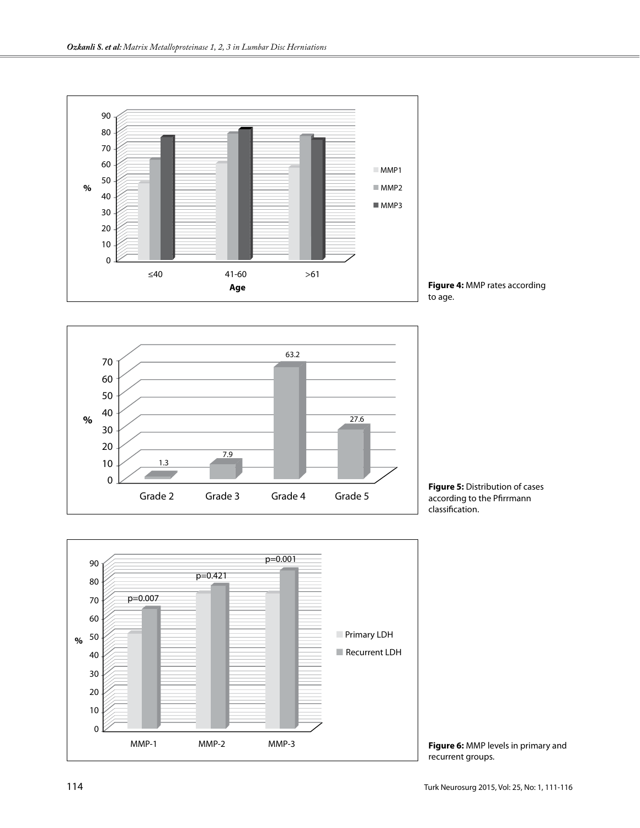





**Figure 5:** Distribution of cases according to the Pfirrmann classification.



**Figure 6:** MMP levels in primary and recurrent groups.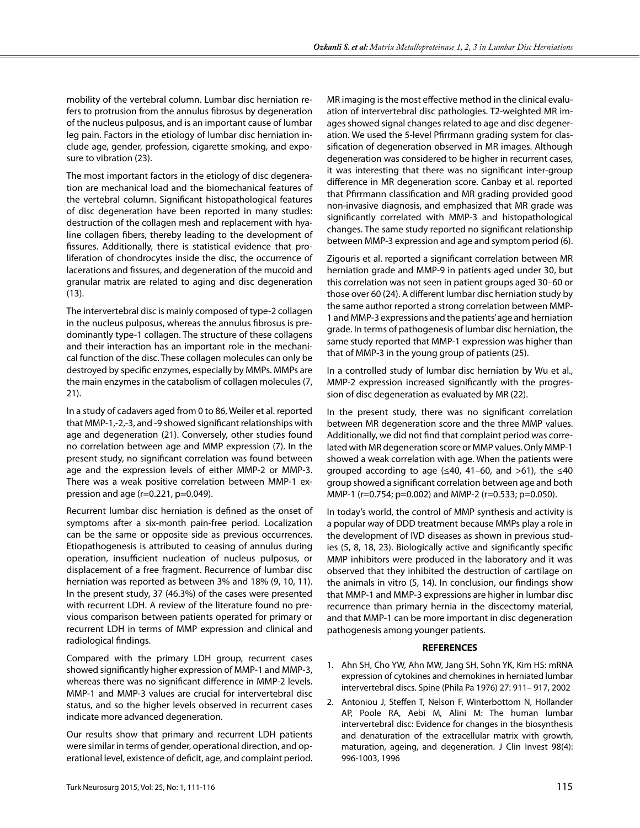mobility of the vertebral column. Lumbar disc herniation refers to protrusion from the annulus fibrosus by degeneration of the nucleus pulposus, and is an important cause of lumbar leg pain. Factors in the etiology of lumbar disc herniation include age, gender, profession, cigarette smoking, and exposure to vibration (23).

The most important factors in the etiology of disc degeneration are mechanical load and the biomechanical features of the vertebral column. Significant histopathological features of disc degeneration have been reported in many studies: destruction of the collagen mesh and replacement with hyaline collagen fibers, thereby leading to the development of fissures. Additionally, there is statistical evidence that proliferation of chondrocytes inside the disc, the occurrence of lacerations and fissures, and degeneration of the mucoid and granular matrix are related to aging and disc degeneration (13).

The intervertebral disc is mainly composed of type-2 collagen in the nucleus pulposus, whereas the annulus fibrosus is predominantly type-1 collagen. The structure of these collagens and their interaction has an important role in the mechanical function of the disc. These collagen molecules can only be destroyed by specific enzymes, especially by MMPs. MMPs are the main enzymes in the catabolism of collagen molecules (7, 21).

In a study of cadavers aged from 0 to 86, Weiler et al. reported that MMP-1,-2,-3, and -9 showed significant relationships with age and degeneration (21). Conversely, other studies found no correlation between age and MMP expression (7). In the present study, no significant correlation was found between age and the expression levels of either MMP-2 or MMP-3. There was a weak positive correlation between MMP-1 expression and age ( $r=0.221$ ,  $p=0.049$ ).

Recurrent lumbar disc herniation is defined as the onset of symptoms after a six-month pain-free period. Localization can be the same or opposite side as previous occurrences. Etiopathogenesis is attributed to ceasing of annulus during operation, insufficient nucleation of nucleus pulposus, or displacement of a free fragment. Recurrence of lumbar disc herniation was reported as between 3% and 18% (9, 10, 11). In the present study, 37 (46.3%) of the cases were presented with recurrent LDH. A review of the literature found no previous comparison between patients operated for primary or recurrent LDH in terms of MMP expression and clinical and radiological findings.

Compared with the primary LDH group, recurrent cases showed significantly higher expression of MMP-1 and MMP-3, whereas there was no significant difference in MMP-2 levels. MMP-1 and MMP-3 values are crucial for intervertebral disc status, and so the higher levels observed in recurrent cases indicate more advanced degeneration.

Our results show that primary and recurrent LDH patients were similar in terms of gender, operational direction, and operational level, existence of deficit, age, and complaint period. MR imaging is the most effective method in the clinical evaluation of intervertebral disc pathologies. T2-weighted MR images showed signal changes related to age and disc degeneration. We used the 5-level Pfirrmann grading system for classification of degeneration observed in MR images. Although degeneration was considered to be higher in recurrent cases, it was interesting that there was no significant inter-group difference in MR degeneration score. Canbay et al. reported that Pfirrmann classification and MR grading provided good non-invasive diagnosis, and emphasized that MR grade was significantly correlated with MMP-3 and histopathological changes. The same study reported no significant relationship between MMP-3 expression and age and symptom period (6).

Zigouris et al. reported a significant correlation between MR herniation grade and MMP-9 in patients aged under 30, but this correlation was not seen in patient groups aged 30–60 or those over 60 (24). A different lumbar disc herniation study by the same author reported a strong correlation between MMP-1 and MMP-3 expressions and the patients' age and herniation grade. In terms of pathogenesis of lumbar disc herniation, the same study reported that MMP-1 expression was higher than that of MMP-3 in the young group of patients (25).

In a controlled study of lumbar disc herniation by Wu et al., MMP-2 expression increased significantly with the progression of disc degeneration as evaluated by MR (22).

In the present study, there was no significant correlation between MR degeneration score and the three MMP values. Additionally, we did not find that complaint period was correlated with MR degeneration score or MMP values. Only MMP-1 showed a weak correlation with age. When the patients were grouped according to age ( $\leq 40$ , 41–60, and  $>61$ ), the  $\leq 40$ group showed a significant correlation between age and both MMP-1 (r=0.754; p=0.002) and MMP-2 (r=0.533; p=0.050).

In today's world, the control of MMP synthesis and activity is a popular way of DDD treatment because MMPs play a role in the development of IVD diseases as shown in previous studies (5, 8, 18, 23). Biologically active and significantly specific MMP inhibitors were produced in the laboratory and it was observed that they inhibited the destruction of cartilage on the animals in vitro (5, 14). In conclusion, our findings show that MMP-1 and MMP-3 expressions are higher in lumbar disc recurrence than primary hernia in the discectomy material, and that MMP-1 can be more important in disc degeneration pathogenesis among younger patients.

# **REFERENCES**

- 1. Ahn SH, Cho YW, Ahn MW, Jang SH, Sohn YK, Kim HS: mRNA expression of cytokines and chemokines in herniated lumbar intervertebral discs. Spine (Phila Pa 1976) 27: 911– 917, 2002
- 2. Antoniou J, Steffen T, Nelson F, Winterbottom N, Hollander AP, Poole RA, Aebi M, Alini M: The human lumbar intervertebral disc: Evidence for changes in the biosynthesis and denaturation of the extracellular matrix with growth, maturation, ageing, and degeneration. J Clin Invest 98(4): 996-1003, 1996